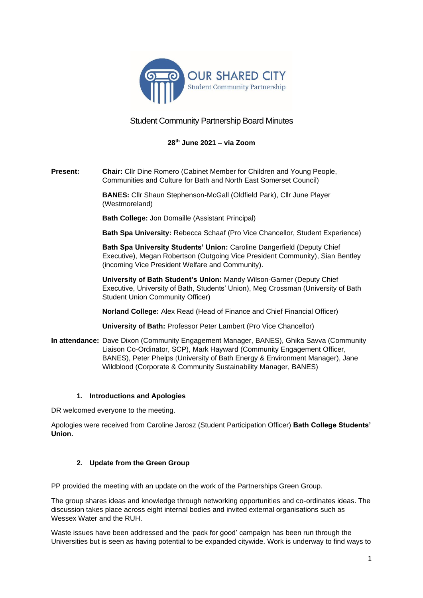

# Student Community Partnership Board Minutes

## **28th June 2021 – via Zoom**

**Present: Chair:** Cllr Dine Romero (Cabinet Member for Children and Young People, Communities and Culture for Bath and North East Somerset Council)

> **BANES:** Cllr Shaun Stephenson-McGall (Oldfield Park), Cllr June Player (Westmoreland)

**Bath College:** Jon Domaille (Assistant Principal)

**Bath Spa University:** Rebecca Schaaf (Pro Vice Chancellor, Student Experience)

**Bath Spa University Students' Union:** Caroline Dangerfield (Deputy Chief Executive), Megan Robertson (Outgoing Vice President Community), Sian Bentley (incoming Vice President Welfare and Community).

**University of Bath Student's Union:** Mandy Wilson-Garner (Deputy Chief Executive, University of Bath, Students' Union), Meg Crossman (University of Bath Student Union Community Officer)

**Norland College:** Alex Read (Head of Finance and Chief Financial Officer)

**University of Bath:** Professor Peter Lambert (Pro Vice Chancellor)

**In attendance:** Dave Dixon (Community Engagement Manager, BANES), Ghika Savva (Community Liaison Co-Ordinator, SCP), Mark Hayward (Community Engagement Officer, BANES), Peter Phelps (University of Bath Energy & Environment Manager), Jane Wildblood (Corporate & Community Sustainability Manager, BANES)

### **1. Introductions and Apologies**

DR welcomed everyone to the meeting.

Apologies were received from Caroline Jarosz (Student Participation Officer) **Bath College Students' Union.**

### **2. Update from the Green Group**

PP provided the meeting with an update on the work of the Partnerships Green Group.

The group shares ideas and knowledge through networking opportunities and co-ordinates ideas. The discussion takes place across eight internal bodies and invited external organisations such as Wessex Water and the RUH.

Waste issues have been addressed and the 'pack for good' campaign has been run through the Universities but is seen as having potential to be expanded citywide. Work is underway to find ways to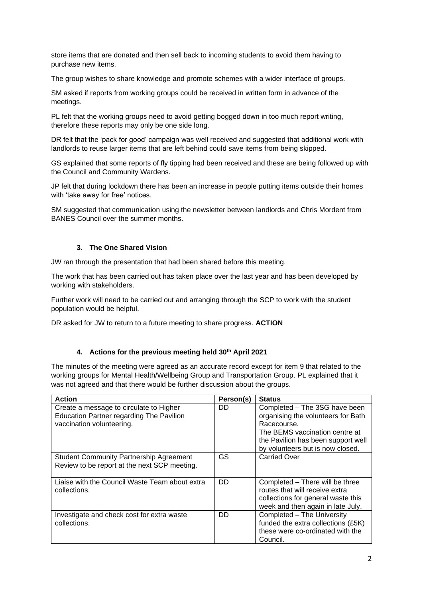store items that are donated and then sell back to incoming students to avoid them having to purchase new items.

The group wishes to share knowledge and promote schemes with a wider interface of groups.

SM asked if reports from working groups could be received in written form in advance of the meetings.

PL felt that the working groups need to avoid getting bogged down in too much report writing, therefore these reports may only be one side long.

DR felt that the 'pack for good' campaign was well received and suggested that additional work with landlords to reuse larger items that are left behind could save items from being skipped.

GS explained that some reports of fly tipping had been received and these are being followed up with the Council and Community Wardens.

JP felt that during lockdown there has been an increase in people putting items outside their homes with 'take away for free' notices.

SM suggested that communication using the newsletter between landlords and Chris Mordent from BANES Council over the summer months.

### **3. The One Shared Vision**

JW ran through the presentation that had been shared before this meeting.

The work that has been carried out has taken place over the last year and has been developed by working with stakeholders.

Further work will need to be carried out and arranging through the SCP to work with the student population would be helpful.

DR asked for JW to return to a future meeting to share progress. **ACTION**

### **4. Actions for the previous meeting held 30th April 2021**

The minutes of the meeting were agreed as an accurate record except for item 9 that related to the working groups for Mental Health/Wellbeing Group and Transportation Group. PL explained that it was not agreed and that there would be further discussion about the groups.

| <b>Action</b>                                                                                                           | Person(s) | <b>Status</b>                                                                                                                                                                                  |
|-------------------------------------------------------------------------------------------------------------------------|-----------|------------------------------------------------------------------------------------------------------------------------------------------------------------------------------------------------|
| Create a message to circulate to Higher<br><b>Education Partner regarding The Pavilion</b><br>vaccination volunteering. | DD.       | Completed - The 3SG have been<br>organising the volunteers for Bath<br>Racecourse.<br>The BEMS vaccination centre at<br>the Pavilion has been support well<br>by volunteers but is now closed. |
| <b>Student Community Partnership Agreement</b><br>Review to be report at the next SCP meeting.                          | GS        | <b>Carried Over</b>                                                                                                                                                                            |
| Liaise with the Council Waste Team about extra<br>collections.                                                          | DD.       | Completed - There will be three<br>routes that will receive extra<br>collections for general waste this<br>week and then again in late July.                                                   |
| Investigate and check cost for extra waste<br>collections.                                                              | DD.       | Completed - The University<br>funded the extra collections (£5K)<br>these were co-ordinated with the<br>Council.                                                                               |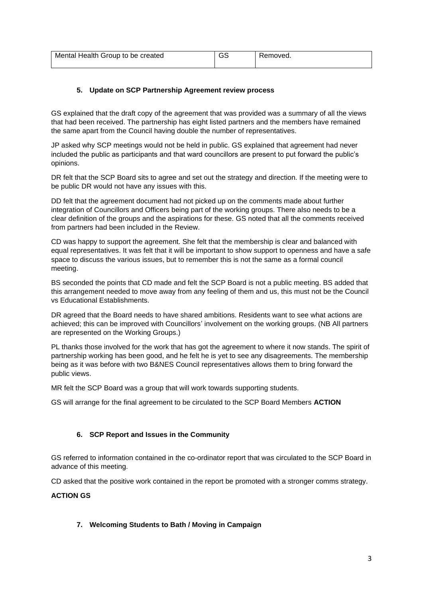| Mental Health Group to be created | 55 | Removed. |
|-----------------------------------|----|----------|
|                                   |    |          |

## **5. Update on SCP Partnership Agreement review process**

GS explained that the draft copy of the agreement that was provided was a summary of all the views that had been received. The partnership has eight listed partners and the members have remained the same apart from the Council having double the number of representatives.

JP asked why SCP meetings would not be held in public. GS explained that agreement had never included the public as participants and that ward councillors are present to put forward the public's opinions.

DR felt that the SCP Board sits to agree and set out the strategy and direction. If the meeting were to be public DR would not have any issues with this.

DD felt that the agreement document had not picked up on the comments made about further integration of Councillors and Officers being part of the working groups. There also needs to be a clear definition of the groups and the aspirations for these. GS noted that all the comments received from partners had been included in the Review.

CD was happy to support the agreement. She felt that the membership is clear and balanced with equal representatives. It was felt that it will be important to show support to openness and have a safe space to discuss the various issues, but to remember this is not the same as a formal council meeting.

BS seconded the points that CD made and felt the SCP Board is not a public meeting. BS added that this arrangement needed to move away from any feeling of them and us, this must not be the Council vs Educational Establishments.

DR agreed that the Board needs to have shared ambitions. Residents want to see what actions are achieved; this can be improved with Councillors' involvement on the working groups. (NB All partners are represented on the Working Groups.)

PL thanks those involved for the work that has got the agreement to where it now stands. The spirit of partnership working has been good, and he felt he is yet to see any disagreements. The membership being as it was before with two B&NES Council representatives allows them to bring forward the public views.

MR felt the SCP Board was a group that will work towards supporting students.

GS will arrange for the final agreement to be circulated to the SCP Board Members **ACTION**

## **6. SCP Report and Issues in the Community**

GS referred to information contained in the co-ordinator report that was circulated to the SCP Board in advance of this meeting.

CD asked that the positive work contained in the report be promoted with a stronger comms strategy.

### **ACTION GS**

### **7. Welcoming Students to Bath / Moving in Campaign**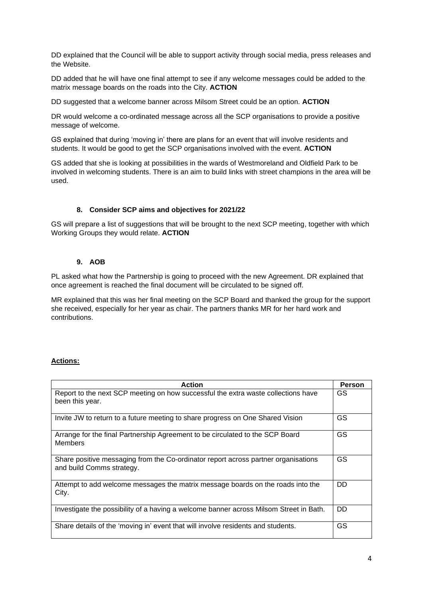DD explained that the Council will be able to support activity through social media, press releases and the Website.

DD added that he will have one final attempt to see if any welcome messages could be added to the matrix message boards on the roads into the City. **ACTION**

DD suggested that a welcome banner across Milsom Street could be an option. **ACTION** 

DR would welcome a co-ordinated message across all the SCP organisations to provide a positive message of welcome.

GS explained that during 'moving in' there are plans for an event that will involve residents and students. It would be good to get the SCP organisations involved with the event. **ACTION**

GS added that she is looking at possibilities in the wards of Westmoreland and Oldfield Park to be involved in welcoming students. There is an aim to build links with street champions in the area will be used.

### **8. Consider SCP aims and objectives for 2021/22**

GS will prepare a list of suggestions that will be brought to the next SCP meeting, together with which Working Groups they would relate. **ACTION**

#### **9. AOB**

PL asked what how the Partnership is going to proceed with the new Agreement. DR explained that once agreement is reached the final document will be circulated to be signed off.

MR explained that this was her final meeting on the SCP Board and thanked the group for the support she received, especially for her year as chair. The partners thanks MR for her hard work and contributions.

### **Actions:**

| <b>Action</b>                                                                                                   |     |
|-----------------------------------------------------------------------------------------------------------------|-----|
| Report to the next SCP meeting on how successful the extra waste collections have<br>been this year.            | GS  |
| Invite JW to return to a future meeting to share progress on One Shared Vision                                  | GS  |
| Arrange for the final Partnership Agreement to be circulated to the SCP Board<br><b>Members</b>                 | GS  |
| Share positive messaging from the Co-ordinator report across partner organisations<br>and build Comms strategy. | GS  |
| Attempt to add welcome messages the matrix message boards on the roads into the<br>City.                        | DD. |
| Investigate the possibility of a having a welcome banner across Milsom Street in Bath.                          | DD. |
| Share details of the 'moving in' event that will involve residents and students.                                | GS  |